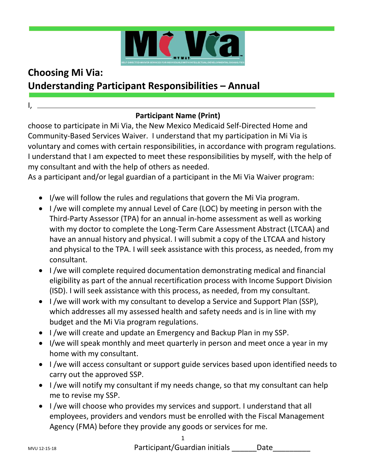

# **Choosing Mi Via: Understanding Participant Responsibilities – Annual**

## **Participant Name (Print)**

choose to participate in Mi Via, the New Mexico Medicaid Self-Directed Home and Community-Based Services Waiver. I understand that my participation in Mi Via is voluntary and comes with certain responsibilities, in accordance with program regulations. I understand that I am expected to meet these responsibilities by myself, with the help of my consultant and with the help of others as needed.

As a participant and/or legal guardian of a participant in the Mi Via Waiver program:

- I/we will follow the rules and regulations that govern the Mi Via program.
- I /we will complete my annual Level of Care (LOC) by meeting in person with the Third-Party Assessor (TPA) for an annual in-home assessment as well as working with my doctor to complete the Long-Term Care Assessment Abstract (LTCAA) and have an annual history and physical. I will submit a copy of the LTCAA and history and physical to the TPA. I will seek assistance with this process, as needed, from my consultant.
- I /we will complete required documentation demonstrating medical and financial eligibility as part of the annual recertification process with Income Support Division (ISD). I will seek assistance with this process, as needed, from my consultant.
- I /we will work with my consultant to develop a Service and Support Plan (SSP), which addresses all my assessed health and safety needs and is in line with my budget and the Mi Via program regulations.
- I /we will create and update an Emergency and Backup Plan in my SSP.
- I/we will speak monthly and meet quarterly in person and meet once a year in my home with my consultant.
- I /we will access consultant or support guide services based upon identified needs to carry out the approved SSP.
- I /we will notify my consultant if my needs change, so that my consultant can help me to revise my SSP.
- I /we will choose who provides my services and support. I understand that all employees, providers and vendors must be enrolled with the Fiscal Management Agency (FMA) before they provide any goods or services for me.

I,

#### 1

MVU 12-15-18 **Date Participant/Guardian initials Date**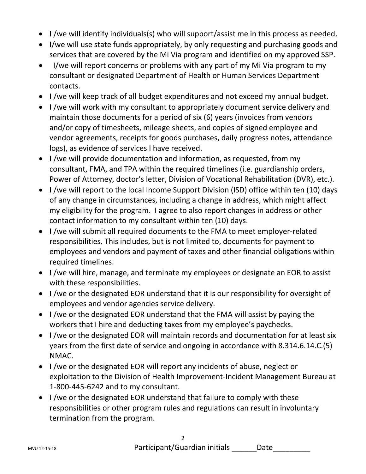- I /we will identify individuals(s) who will support/assist me in this process as needed.
- I/we will use state funds appropriately, by only requesting and purchasing goods and services that are covered by the Mi Via program and identified on my approved SSP.
- I/we will report concerns or problems with any part of my Mi Via program to my consultant or designated Department of Health or Human Services Department contacts.
- I /we will keep track of all budget expenditures and not exceed my annual budget.
- I /we will work with my consultant to appropriately document service delivery and maintain those documents for a period of six (6) years (invoices from vendors and/or copy of timesheets, mileage sheets, and copies of signed employee and vendor agreements, receipts for goods purchases, daily progress notes, attendance logs), as evidence of services I have received.
- I /we will provide documentation and information, as requested, from my consultant, FMA, and TPA within the required timelines (i.e. guardianship orders, Power of Attorney, doctor's letter, Division of Vocational Rehabilitation (DVR), etc.).
- I /we will report to the local Income Support Division (ISD) office within ten (10) days of any change in circumstances, including a change in address, which might affect my eligibility for the program. I agree to also report changes in address or other contact information to my consultant within ten (10) days.
- I /we will submit all required documents to the FMA to meet employer-related responsibilities. This includes, but is not limited to, documents for payment to employees and vendors and payment of taxes and other financial obligations within required timelines.
- I /we will hire, manage, and terminate my employees or designate an EOR to assist with these responsibilities.
- I /we or the designated EOR understand that it is our responsibility for oversight of employees and vendor agencies service delivery.
- I /we or the designated EOR understand that the FMA will assist by paying the workers that I hire and deducting taxes from my employee's paychecks.
- I /we or the designated EOR will maintain records and documentation for at least six years from the first date of service and ongoing in accordance with 8.314.6.14.C.(5) NMAC.
- I /we or the designated EOR will report any incidents of abuse, neglect or exploitation to the Division of Health Improvement-Incident Management Bureau at 1-800-445-6242 and to my consultant.
- I /we or the designated EOR understand that failure to comply with these responsibilities or other program rules and regulations can result in involuntary termination from the program.